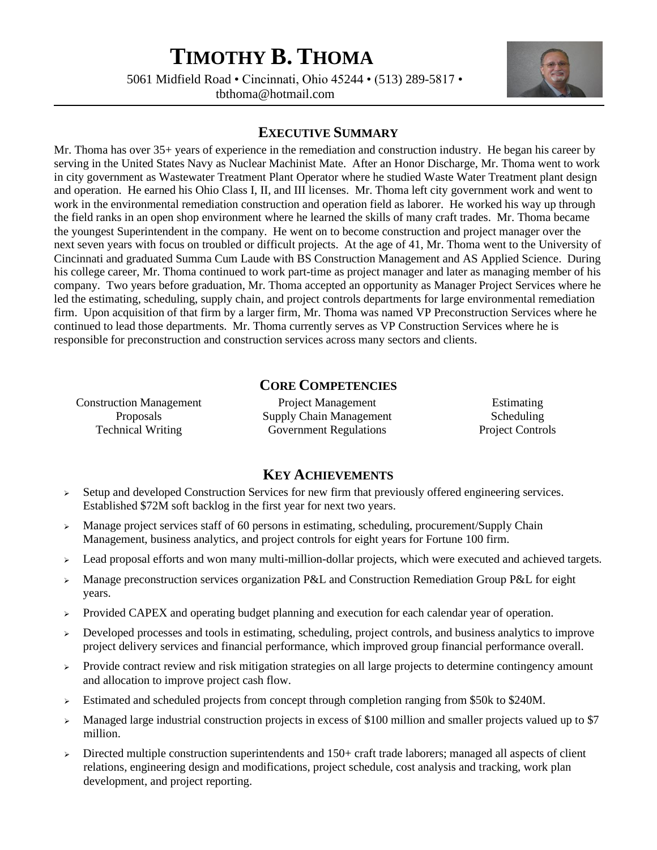# **TIMOTHY B. THOMA**

5061 Midfield Road • Cincinnati, Ohio 45244 • (513) 289-5817 • tbthoma@hotmail.com



# **EXECUTIVE SUMMARY**

Mr. Thoma has over 35+ years of experience in the remediation and construction industry. He began his career by serving in the United States Navy as Nuclear Machinist Mate. After an Honor Discharge, Mr. Thoma went to work in city government as Wastewater Treatment Plant Operator where he studied Waste Water Treatment plant design and operation. He earned his Ohio Class I, II, and III licenses. Mr. Thoma left city government work and went to work in the environmental remediation construction and operation field as laborer. He worked his way up through the field ranks in an open shop environment where he learned the skills of many craft trades. Mr. Thoma became the youngest Superintendent in the company. He went on to become construction and project manager over the next seven years with focus on troubled or difficult projects. At the age of 41, Mr. Thoma went to the University of Cincinnati and graduated Summa Cum Laude with BS Construction Management and AS Applied Science. During his college career, Mr. Thoma continued to work part-time as project manager and later as managing member of his company. Two years before graduation, Mr. Thoma accepted an opportunity as Manager Project Services where he led the estimating, scheduling, supply chain, and project controls departments for large environmental remediation firm. Upon acquisition of that firm by a larger firm, Mr. Thoma was named VP Preconstruction Services where he continued to lead those departments. Mr. Thoma currently serves as VP Construction Services where he is responsible for preconstruction and construction services across many sectors and clients.

# **CORE COMPETENCIES**

Construction Management Project Management Estimating Proposals Supply Chain Management Scheduling Technical Writing Government Regulations Project Controls

## **KEY ACHIEVEMENTS**

- $\triangleright$  Setup and developed Construction Services for new firm that previously offered engineering services. Established \$72M soft backlog in the first year for next two years.
- ➢ Manage project services staff of 60 persons in estimating, scheduling, procurement/Supply Chain Management, business analytics, and project controls for eight years for Fortune 100 firm.
- ➢ Lead proposal efforts and won many multi-million-dollar projects, which were executed and achieved targets.
- ➢ Manage preconstruction services organization P&L and Construction Remediation Group P&L for eight years.
- $\triangleright$  Provided CAPEX and operating budget planning and execution for each calendar year of operation.
- ➢ Developed processes and tools in estimating, scheduling, project controls, and business analytics to improve project delivery services and financial performance, which improved group financial performance overall.
- ➢ Provide contract review and risk mitigation strategies on all large projects to determine contingency amount and allocation to improve project cash flow.
- ➢ Estimated and scheduled projects from concept through completion ranging from \$50k to \$240M.
- ➢ Managed large industrial construction projects in excess of \$100 million and smaller projects valued up to \$7 million.
- $\triangleright$  Directed multiple construction superintendents and 150+ craft trade laborers; managed all aspects of client relations, engineering design and modifications, project schedule, cost analysis and tracking, work plan development, and project reporting.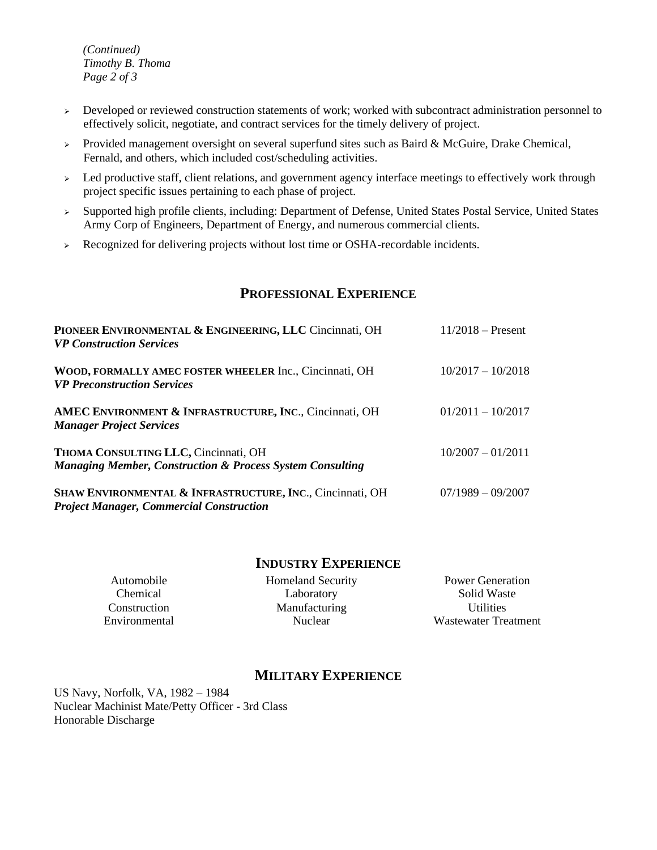*(Continued) Timothy B. Thoma Page 2 of 3*

- ➢ Developed or reviewed construction statements of work; worked with subcontract administration personnel to effectively solicit, negotiate, and contract services for the timely delivery of project.
- $\triangleright$  Provided management oversight on several superfund sites such as Baird & McGuire, Drake Chemical, Fernald, and others, which included cost/scheduling activities.
- ➢ Led productive staff, client relations, and government agency interface meetings to effectively work through project specific issues pertaining to each phase of project.
- ➢ Supported high profile clients, including: Department of Defense, United States Postal Service, United States Army Corp of Engineers, Department of Energy, and numerous commercial clients.
- ➢ Recognized for delivering projects without lost time or OSHA-recordable incidents.

## **PROFESSIONAL EXPERIENCE**

| PIONEER ENVIRONMENTAL & ENGINEERING, LLC Cincinnati, OH<br><b>VP Construction Services</b>                   | $11/2018$ – Present |
|--------------------------------------------------------------------------------------------------------------|---------------------|
| WOOD, FORMALLY AMEC FOSTER WHEELER Inc., Cincinnati, OH<br><b>VP Preconstruction Services</b>                | $10/2017 - 10/2018$ |
| AMEC ENVIRONMENT & INFRASTRUCTURE, INC., Cincinnati, OH<br><b>Manager Project Services</b>                   | $01/2011 - 10/2017$ |
| THOMA CONSULTING LLC, Cincinnati, OH<br><b>Managing Member, Construction &amp; Process System Consulting</b> | $10/2007 - 01/2011$ |
| SHAW ENVIRONMENTAL & INFRASTRUCTURE, INC., Cincinnati, OH<br><b>Project Manager, Commercial Construction</b> | $07/1989 - 09/2007$ |

### **INDUSTRY EXPERIENCE**

Automobile **Homeland Security** Power Generation Chemical Laboratory Solid Waste Construction Manufacturing Utilities<br>
Environmental Nuclear Wastewater Tre

Environmental Nuclear Wastewater Treatment

# **MILITARY EXPERIENCE**

US Navy, Norfolk, VA, 1982 – 1984 Nuclear Machinist Mate/Petty Officer - 3rd Class Honorable Discharge